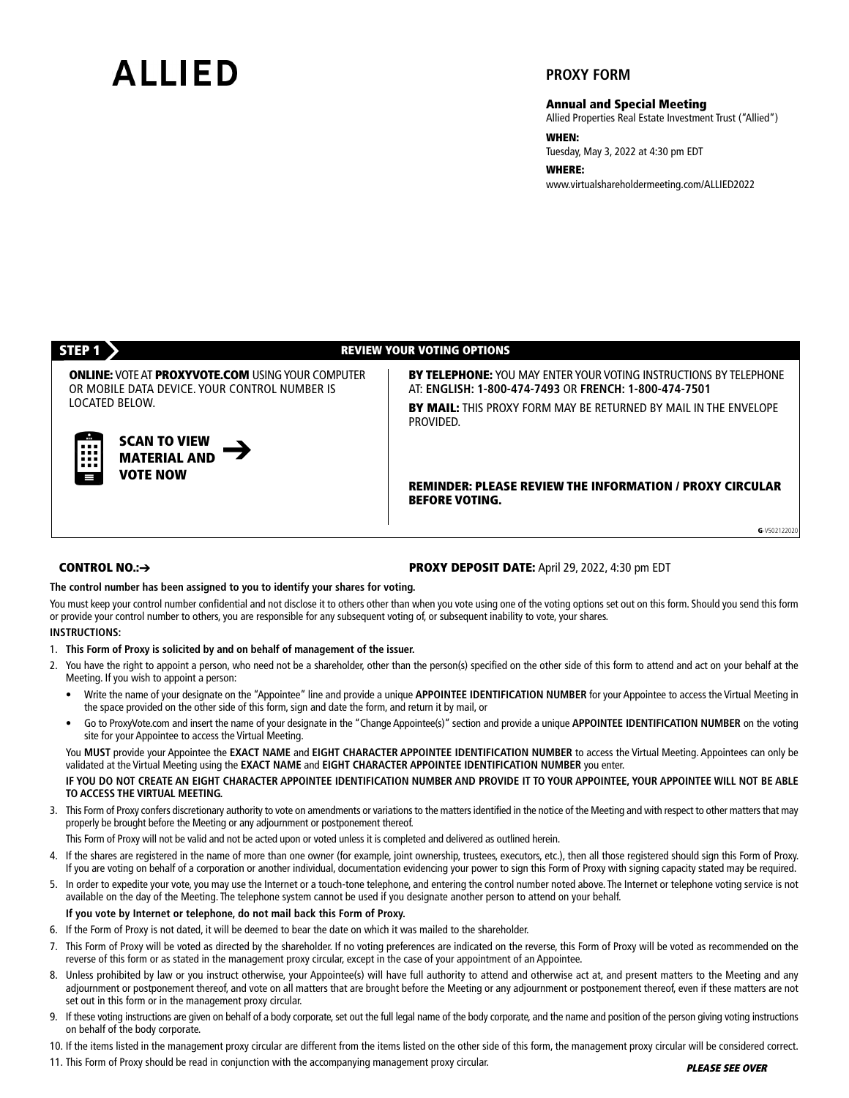# **AIIIFD**

# **PROXY FORM**

**Annual and Special Meeting**

Allied Properties Real Estate Investment Trust ("Allied")

**WHEN:**

Tuesday, May 3, 2022 at 4:30 pm EDT

**WHERE:** www.virtualshareholdermeeting.com/ALLIED2022

#### **SCAN TO VIEW MATERIAL AND VOTE NOW STEP 1 REVIEW YOUR VOTING OPTIONS BY TELEPHONE:** YOU MAY ENTER YOUR VOTING INSTRUCTIONS BY TELEPHONE AT: **ENGLISH: 1-800-474-7493** OR **FRENCH: 1-800-474-7501 BY MAIL:** THIS PROXY FORM MAY BE RETURNED BY MAIL IN THE ENVELOPE PROVIDED. **REMINDER: PLEASE REVIEW THE INFORMATION / PROXY CIRCULAR BEFORE VOTING. ONLINE:** VOTEAT **PROXYVOTE.COM** USINGYOUR COMPUTER OR MOBILE DATA DEVICE. YOUR CONTROL NUMBER IS LOCATED BELOW. **G**-V502122020

### **CONTROL NO.:**➔

### **PROXY DEPOSIT DATE:** April 29, 2022, 4:30 pm EDT

#### **The control number has been assigned to you to identify your shares for voting.**

You must keep your control number confidential and not disclose it to others other than when you vote using one of the voting options set out on this form. Should you send this form or provide your control number to others, you are responsible for any subsequent voting of, or subsequent inability to vote, your shares.

#### **INSTRUCTIONS:**

- 1. **This Form of Proxy is solicited by and on behalf of management of the issuer.**
- 2. You have the right to appoint a person, who need not be a shareholder, other than the person(s) specified on the other side of this form to attend and act on your behalf at the Meeting. If you wish to appoint a person:
	- Write the name of your designate on the "Appointee" line and provide a unique **APPOINTEE IDENTIFICATION NUMBER** for your Appointee to access the Virtual Meeting in the space provided on the other side of this form, sign and date the form, and return it by mail, or
	- Go to ProxyVote.com and insert the name of your designate in the "Change Appointee(s)" section and provide a unique **APPOINTEE IDENTIFICATION NUMBER** on the voting site for your Appointee to access the Virtual Meeting.

You **MUST** provide your Appointee the **EXACT NAME** and **EIGHT CHARACTER APPOINTEE IDENTIFICATION NUMBER** to access the Virtual Meeting. Appointees can only be validated at the Virtual Meeting using the **EXACT NAME** and **EIGHT CHARACTER APPOINTEE IDENTIFICATION NUMBER** you enter.

#### IF YOU DO NOT CREATE AN EIGHT CHARACTER APPOINTEE IDENTIFICATION NUMBER AND PROVIDE IT TO YOUR APPOINTEE, YOUR APPOINTEE WILL NOT BE ABLE **TO ACCESS THE VIRTUAL MEETING.**

3. This Form of Proxy confers discretionary authority to vote on amendments or variations to the matters identified in the notice of the Meeting and with respect to other matters that may properly be brought before the Meeting or any adjournment or postponement thereof.

This Form of Proxy will not be valid and not be acted upon or voted unless it is completed and delivered as outlined herein.

- 4. If the shares are registered in the name of more than one owner (for example, joint ownership, trustees, executors, etc.), then all those registered should sign this Form of Proxy. If you are voting on behalf of a corporation or another individual, documentation evidencing your power to sign this Form of Proxy with signing capacity stated may be required.
- 5. In order to expedite your vote, you may use the Internet or a touch-tone telephone, and entering the control number noted above. The Internet or telephone voting service is not available on the day of the Meeting. The telephone system cannot be used if you designate another person to attend on your behalf.

# **If you vote by Internet or telephone, do not mail back this Form of Proxy.**

- 6. If the Form of Proxy is not dated, it will be deemed to bear the date on which it was mailed to the shareholder.
- 7. This Form of Proxy will be voted as directed by the shareholder. If no voting preferences are indicated on the reverse, this Form of Proxy will be voted as recommended on the reverse of this form or as stated in the management proxy circular, except in the case of your appointment of an Appointee.
- 8. Unless prohibited by law or you instruct otherwise, your Appointee(s) will have full authority to attend and otherwise act at, and present matters to the Meeting and any adjournment or postponement thereof, and vote on all matters that are brought before the Meeting or any adjournment or postponement thereof, even if these matters are not set out in this form or in the management proxy circular.
- 9. If these voting instructions are given on behalf of a body corporate, set out the full legal name of the body corporate, and the name and position of the person giving voting instructions on behalf of the body corporate.
- 10. If the items listed in the management proxy circular are different from the items listed on the other side of this form, the management proxy circular will be considered correct.
- 11. This Form of Proxy should be read in conjunction with the accompanying management proxy circular.